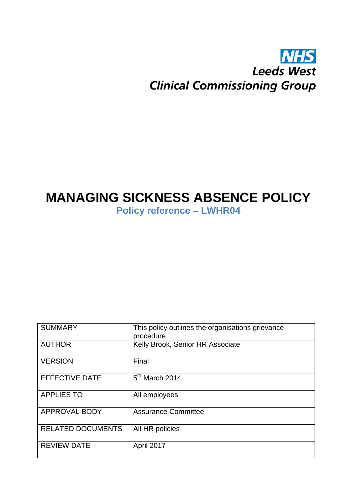# **NHS Leeds West Clinical Commissioning Group**

# **MANAGING SICKNESS ABSENCE POLICY**

**Policy reference – LWHR04**

| <b>SUMMARY</b>           | This policy outlines the organisations grievance<br>procedure. |  |
|--------------------------|----------------------------------------------------------------|--|
| <b>AUTHOR</b>            | Kelly Brook, Senior HR Associate                               |  |
| <b>VERSION</b>           | Final                                                          |  |
| <b>EFFECTIVE DATE</b>    | $5th$ March 2014                                               |  |
| <b>APPLIES TO</b>        | All employees                                                  |  |
| <b>APPROVAL BODY</b>     | <b>Assurance Committee</b>                                     |  |
| <b>RELATED DOCUMENTS</b> | All HR policies                                                |  |
| <b>REVIEW DATE</b>       | April 2017                                                     |  |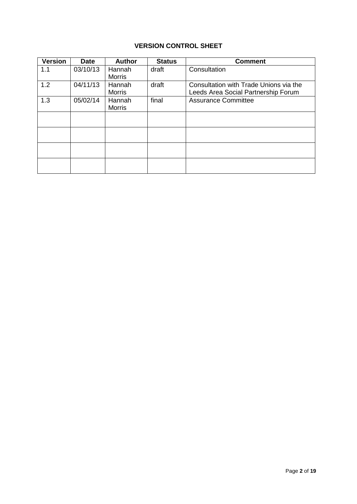### **VERSION CONTROL SHEET**

| <b>Version</b> | <b>Date</b> | <b>Author</b>           | <b>Status</b> | <b>Comment</b>                                                                |
|----------------|-------------|-------------------------|---------------|-------------------------------------------------------------------------------|
| 1.1            | 03/10/13    | Hannah<br><b>Morris</b> | draft         | Consultation                                                                  |
| 1.2            | 04/11/13    | Hannah<br><b>Morris</b> | draft         | Consultation with Trade Unions via the<br>Leeds Area Social Partnership Forum |
| 1.3            | 05/02/14    | Hannah<br><b>Morris</b> | final         | <b>Assurance Committee</b>                                                    |
|                |             |                         |               |                                                                               |
|                |             |                         |               |                                                                               |
|                |             |                         |               |                                                                               |
|                |             |                         |               |                                                                               |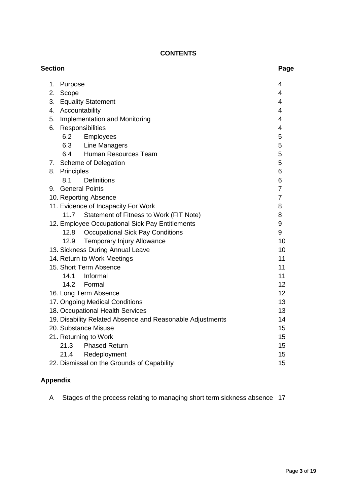### **CONTENTS**

| <b>Section</b> |                                                           | Page           |
|----------------|-----------------------------------------------------------|----------------|
| 1.             | Purpose                                                   | 4              |
| 2.<br>Scope    |                                                           | $\overline{4}$ |
|                | 3. Equality Statement                                     | 4              |
|                | 4. Accountability                                         | 4              |
|                | 5. Implementation and Monitoring                          | 4              |
| 6.             | Responsibilities                                          | 4              |
| 6.2            | Employees                                                 | 5              |
| 6.3            | Line Managers                                             | 5              |
| 6.4            | Human Resources Team                                      | 5              |
|                | 7. Scheme of Delegation                                   | 5              |
| 8. Principles  |                                                           | 6              |
| 8.1            | <b>Definitions</b>                                        | 6              |
|                | 9. General Points                                         | $\overline{7}$ |
|                | 10. Reporting Absence                                     | $\overline{7}$ |
|                | 11. Evidence of Incapacity For Work                       | 8              |
|                | Statement of Fitness to Work (FIT Note)<br>11.7           | 8              |
|                | 12. Employee Occupational Sick Pay Entitlements           | 9              |
|                | 12.8 Occupational Sick Pay Conditions                     | 9              |
| 12.9           | Temporary Injury Allowance                                | 10             |
|                | 13. Sickness During Annual Leave                          | 10             |
|                | 14. Return to Work Meetings                               | 11             |
|                | 15. Short Term Absence                                    | 11             |
| 14.1           | Informal                                                  | 11             |
|                | 14.2<br>Formal                                            | 12             |
|                | 16. Long Term Absence                                     | 12             |
|                | 17. Ongoing Medical Conditions                            | 13             |
|                | 18. Occupational Health Services                          | 13             |
|                | 19. Disability Related Absence and Reasonable Adjustments | 14             |
|                | 20. Substance Misuse                                      | 15             |
|                | 21. Returning to Work                                     | 15             |
| 21.3           | <b>Phased Return</b>                                      | 15             |
| 21.4           | Redeployment                                              | 15             |
|                | 22. Dismissal on the Grounds of Capability                | 15             |

# **Appendix**

A Stages of the process relating to managing short term sickness absence 17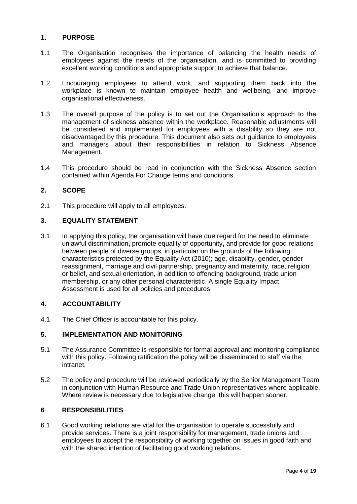#### **1. PURPOSE**

- 1.1 The Organisation recognises the importance of balancing the health needs of employees against the needs of the organisation, and is committed to providing excellent working conditions and appropriate support to achieve that balance.
- 1.2 Encouraging employees to attend work, and supporting them back into the workplace is known to maintain employee health and wellbeing, and improve organisational effectiveness.
- 1.3 The overall purpose of the policy is to set out the Organisation's approach to the management of sickness absence within the workplace. Reasonable adjustments will be considered and implemented for employees with a disability so they are not disadvantaged by this procedure. This document also sets out guidance to employees and managers about their responsibilities in relation to Sickness Absence Management.
- 1.4 This procedure should be read in conjunction with the Sickness Absence section contained within Agenda For Change terms and conditions.

#### **2. SCOPE**

2.1 This procedure will apply to all employees.

#### **3. EQUALITY STATEMENT**

3.1 In applying this policy, the organisation will have due regard for the need to eliminate unlawful discrimination**,** promote equality of opportunity**,** and provide for good relations between people of diverse groups, in particular on the grounds of the following characteristics protected by the Equality Act (2010); age, disability, gender, gender reassignment, marriage and civil partnership, pregnancy and maternity, race, religion or belief, and sexual orientation, in addition to offending background, trade union membership, or any other personal characteristic. A single Equality Impact Assessment is used for all policies and procedures.

#### **4. ACCOUNTABILITY**

4.1 The Chief Officer is accountable for this policy.

#### **5. IMPLEMENTATION AND MONITORING**

- 5.1 The Assurance Committee is responsible for formal approval and monitoring compliance with this policy. Following ratification the policy will be disseminated to staff via the intranet.
- 5.2 The policy and procedure will be reviewed periodically by the Senior Management Team in conjunction with Human Resource and Trade Union representatives where applicable. Where review is necessary due to legislative change, this will happen sooner.

#### **6 RESPONSIBILITIES**

6.1 Good working relations are vital for the organisation to operate successfully and provide services. There is a joint responsibility for management, trade unions and employees to accept the responsibility of working together on issues in good faith and with the shared intention of facilitating good working relations.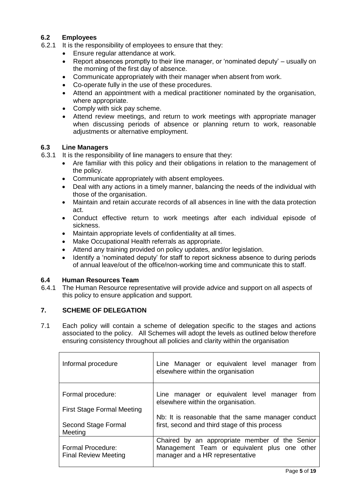#### **6.2 Employees**

- 6.2.1 It is the responsibility of employees to ensure that they:
	- Ensure regular attendance at work.
	- Report absences promptly to their line manager, or 'nominated deputy' usually on the morning of the first day of absence.
	- Communicate appropriately with their manager when absent from work.
	- Co-operate fully in the use of these procedures.
	- Attend an appointment with a medical practitioner nominated by the organisation, where appropriate.
	- Comply with sick pay scheme.
	- Attend review meetings, and return to work meetings with appropriate manager when discussing periods of absence or planning return to work, reasonable adjustments or alternative employment.

#### **6.3 Line Managers**

- 6.3.1 It is the responsibility of line managers to ensure that they:
	- Are familiar with this policy and their obligations in relation to the management of the policy.
	- Communicate appropriately with absent employees.
	- Deal with any actions in a timely manner, balancing the needs of the individual with those of the organisation.
	- Maintain and retain accurate records of all absences in line with the data protection act.
	- Conduct effective return to work meetings after each individual episode of sickness.
	- Maintain appropriate levels of confidentiality at all times.
	- Make Occupational Health referrals as appropriate.
	- Attend any training provided on policy updates, and/or legislation.
	- Identify a 'nominated deputy' for staff to report sickness absence to during periods of annual leave/out of the office/non-working time and communicate this to staff.

#### **6.4 Human Resources Team**

6.4.1 The Human Resource representative will provide advice and support on all aspects of this policy to ensure application and support.

#### **7. SCHEME OF DELEGATION**

7.1 Each policy will contain a scheme of delegation specific to the stages and actions associated to the policy. All Schemes will adopt the levels as outlined below therefore ensuring consistency throughout all policies and clarity within the organisation

| Informal procedure                               | Line Manager or equivalent level manager<br>from<br>elsewhere within the organisation |
|--------------------------------------------------|---------------------------------------------------------------------------------------|
| Formal procedure:                                | Line manager or equivalent level manager from<br>elsewhere within the organisation.   |
| <b>First Stage Formal Meeting</b>                |                                                                                       |
|                                                  | Nb: It is reasonable that the same manager conduct                                    |
| Second Stage Formal<br>Meeting                   | first, second and third stage of this process                                         |
|                                                  | Chaired by an appropriate member of the Senior                                        |
| Formal Procedure:<br><b>Final Review Meeting</b> | Management Team or equivalent plus one other<br>manager and a HR representative       |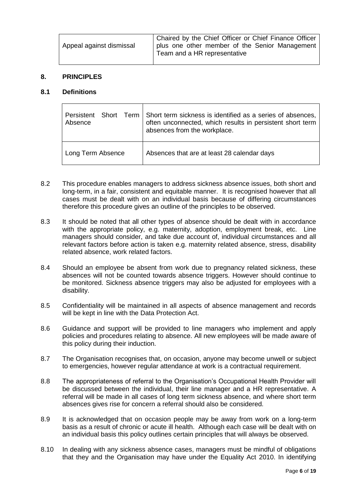| Appeal against dismissal | Chaired by the Chief Officer or Chief Finance Officer<br>plus one other member of the Senior Management<br>Team and a HR representative |
|--------------------------|-----------------------------------------------------------------------------------------------------------------------------------------|
|                          |                                                                                                                                         |

#### **8. PRINCIPLES**

#### **8.1 Definitions**

| Persistent Short Term<br>Absence | Short term sickness is identified as a series of absences,<br>often unconnected, which results in persistent short term<br>absences from the workplace. |
|----------------------------------|---------------------------------------------------------------------------------------------------------------------------------------------------------|
| Long Term Absence                | Absences that are at least 28 calendar days                                                                                                             |

- 8.2 This procedure enables managers to address sickness absence issues, both short and long-term, in a fair, consistent and equitable manner. It is recognised however that all cases must be dealt with on an individual basis because of differing circumstances therefore this procedure gives an outline of the principles to be observed.
- 8.3 It should be noted that all other types of absence should be dealt with in accordance with the appropriate policy, e.g. maternity, adoption, employment break, etc. Line managers should consider, and take due account of, individual circumstances and all relevant factors before action is taken e.g. maternity related absence, stress, disability related absence, work related factors.
- 8.4 Should an employee be absent from work due to pregnancy related sickness, these absences will not be counted towards absence triggers. However should continue to be monitored. Sickness absence triggers may also be adjusted for employees with a disability.
- 8.5 Confidentiality will be maintained in all aspects of absence management and records will be kept in line with the Data Protection Act.
- 8.6 Guidance and support will be provided to line managers who implement and apply policies and procedures relating to absence. All new employees will be made aware of this policy during their induction.
- 8.7 The Organisation recognises that, on occasion, anyone may become unwell or subject to emergencies, however regular attendance at work is a contractual requirement.
- 8.8 The appropriateness of referral to the Organisation's Occupational Health Provider will be discussed between the individual, their line manager and a HR representative. A referral will be made in all cases of long term sickness absence, and where short term absences gives rise for concern a referral should also be considered.
- 8.9 It is acknowledged that on occasion people may be away from work on a long-term basis as a result of chronic or acute ill health. Although each case will be dealt with on an individual basis this policy outlines certain principles that will always be observed.
- 8.10 In dealing with any sickness absence cases, managers must be mindful of obligations that they and the Organisation may have under the Equality Act 2010. In identifying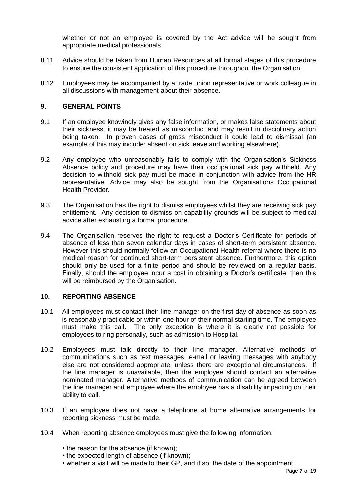whether or not an employee is covered by the Act advice will be sought from appropriate medical professionals.

- 8.11 Advice should be taken from Human Resources at all formal stages of this procedure to ensure the consistent application of this procedure throughout the Organisation.
- 8.12 Employees may be accompanied by a trade union representative or work colleague in all discussions with management about their absence.

#### **9. GENERAL POINTS**

- 9.1 If an employee knowingly gives any false information, or makes false statements about their sickness, it may be treated as misconduct and may result in disciplinary action being taken. In proven cases of gross misconduct it could lead to dismissal (an example of this may include: absent on sick leave and working elsewhere).
- 9.2 Any employee who unreasonably fails to comply with the Organisation's Sickness Absence policy and procedure may have their occupational sick pay withheld. Any decision to withhold sick pay must be made in conjunction with advice from the HR representative. Advice may also be sought from the Organisations Occupational Health Provider.
- 9.3 The Organisation has the right to dismiss employees whilst they are receiving sick pay entitlement. Any decision to dismiss on capability grounds will be subject to medical advice after exhausting a formal procedure.
- 9.4 The Organisation reserves the right to request a Doctor's Certificate for periods of absence of less than seven calendar days in cases of short-term persistent absence. However this should normally follow an Occupational Health referral where there is no medical reason for continued short-term persistent absence. Furthermore, this option should only be used for a finite period and should be reviewed on a regular basis. Finally, should the employee incur a cost in obtaining a Doctor's certificate, then this will be reimbursed by the Organisation.

#### **10. REPORTING ABSENCE**

- 10.1 All employees must contact their line manager on the first day of absence as soon as is reasonably practicable or within one hour of their normal starting time. The employee must make this call. The only exception is where it is clearly not possible for employees to ring personally, such as admission to Hospital.
- 10.2 Employees must talk directly to their line manager. Alternative methods of communications such as text messages, e-mail or leaving messages with anybody else are not considered appropriate, unless there are exceptional circumstances. If the line manager is unavailable, then the employee should contact an alternative nominated manager. Alternative methods of communication can be agreed between the line manager and employee where the employee has a disability impacting on their ability to call.
- 10.3 If an employee does not have a telephone at home alternative arrangements for reporting sickness must be made.
- 10.4 When reporting absence employees must give the following information:
	- the reason for the absence (if known);
	- the expected length of absence (if known);
	- whether a visit will be made to their GP, and if so, the date of the appointment.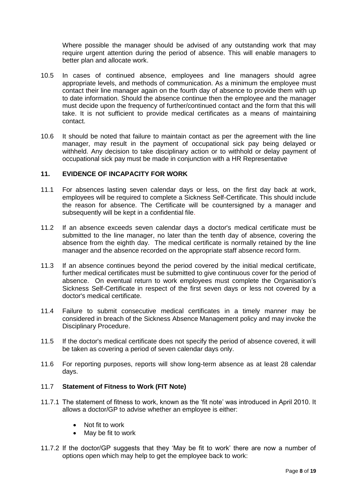Where possible the manager should be advised of any outstanding work that may require urgent attention during the period of absence. This will enable managers to better plan and allocate work.

- 10.5 In cases of continued absence, employees and line managers should agree appropriate levels, and methods of communication. As a minimum the employee must contact their line manager again on the fourth day of absence to provide them with up to date information. Should the absence continue then the employee and the manager must decide upon the frequency of further/continued contact and the form that this will take. It is not sufficient to provide medical certificates as a means of maintaining contact.
- 10.6 It should be noted that failure to maintain contact as per the agreement with the line manager, may result in the payment of occupational sick pay being delayed or withheld. Any decision to take disciplinary action or to withhold or delay payment of occupational sick pay must be made in conjunction with a HR Representative

#### **11. EVIDENCE OF INCAPACITY FOR WORK**

- 11.1 For absences lasting seven calendar days or less, on the first day back at work, employees will be required to complete a Sickness Self-Certificate. This should include the reason for absence. The Certificate will be countersigned by a manager and subsequently will be kept in a confidential file.
- 11.2 If an absence exceeds seven calendar days a doctor's medical certificate must be submitted to the line manager, no later than the tenth day of absence, covering the absence from the eighth day. The medical certificate is normally retained by the line manager and the absence recorded on the appropriate staff absence record form.
- 11.3 If an absence continues beyond the period covered by the initial medical certificate, further medical certificates must be submitted to give continuous cover for the period of absence. On eventual return to work employees must complete the Organisation's Sickness Self-Certificate in respect of the first seven days or less not covered by a doctor's medical certificate.
- 11.4 Failure to submit consecutive medical certificates in a timely manner may be considered in breach of the Sickness Absence Management policy and may invoke the Disciplinary Procedure.
- 11.5 If the doctor's medical certificate does not specify the period of absence covered, it will be taken as covering a period of seven calendar days only.
- 11.6 For reporting purposes, reports will show long-term absence as at least 28 calendar days.

### 11.7 **Statement of Fitness to Work (FIT Note)**

- 11.7.1 The statement of fitness to work, known as the 'fit note' was introduced in April 2010. It allows a doctor/GP to advise whether an employee is either:
	- Not fit to work
	- May be fit to work
- 11.7.2 If the doctor/GP suggests that they 'May be fit to work' there are now a number of options open which may help to get the employee back to work: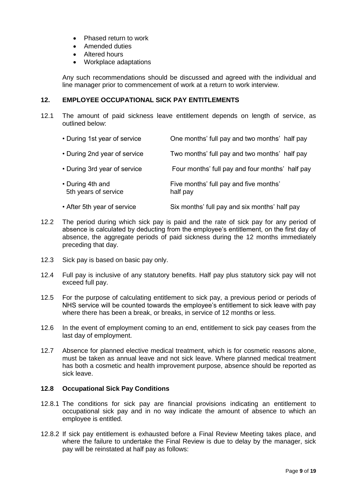- Phased return to work
- Amended duties
- Altered hours
- Workplace adaptations

Any such recommendations should be discussed and agreed with the individual and line manager prior to commencement of work at a return to work interview.

#### **12. EMPLOYEE OCCUPATIONAL SICK PAY ENTITLEMENTS**

12.1 The amount of paid sickness leave entitlement depends on length of service, as outlined below:

| • During 1st year of service             | One months' full pay and two months' half pay      |
|------------------------------------------|----------------------------------------------------|
| • During 2nd year of service             | Two months' full pay and two months' half pay      |
| • During 3rd year of service             | Four months' full pay and four months' half pay    |
| • During 4th and<br>5th years of service | Five months' full pay and five months'<br>half pay |

- After 5th year of service Six months' full pay and six months' half pay
- 12.2 The period during which sick pay is paid and the rate of sick pay for any period of absence is calculated by deducting from the employee's entitlement, on the first day of absence, the aggregate periods of paid sickness during the 12 months immediately preceding that day.
- 12.3 Sick pay is based on basic pay only.
- 12.4 Full pay is inclusive of any statutory benefits. Half pay plus statutory sick pay will not exceed full pay.
- 12.5 For the purpose of calculating entitlement to sick pay, a previous period or periods of NHS service will be counted towards the employee's entitlement to sick leave with pay where there has been a break, or breaks, in service of 12 months or less.
- 12.6 In the event of employment coming to an end, entitlement to sick pay ceases from the last day of employment.
- 12.7 Absence for planned elective medical treatment, which is for cosmetic reasons alone, must be taken as annual leave and not sick leave. Where planned medical treatment has both a cosmetic and health improvement purpose, absence should be reported as sick leave.

#### **12.8 Occupational Sick Pay Conditions**

- 12.8.1 The conditions for sick pay are financial provisions indicating an entitlement to occupational sick pay and in no way indicate the amount of absence to which an employee is entitled.
- 12.8.2 If sick pay entitlement is exhausted before a Final Review Meeting takes place, and where the failure to undertake the Final Review is due to delay by the manager, sick pay will be reinstated at half pay as follows: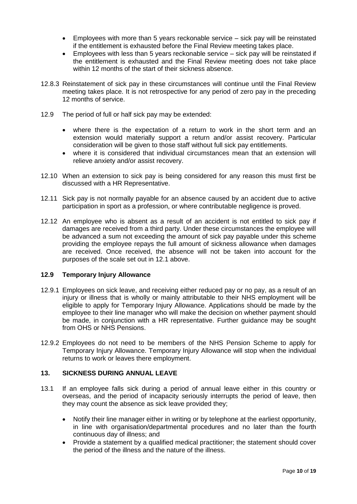- Employees with more than 5 years reckonable service sick pay will be reinstated if the entitlement is exhausted before the Final Review meeting takes place.
- Employees with less than 5 years reckonable service sick pay will be reinstated if the entitlement is exhausted and the Final Review meeting does not take place within 12 months of the start of their sickness absence.
- 12.8.3 Reinstatement of sick pay in these circumstances will continue until the Final Review meeting takes place. It is not retrospective for any period of zero pay in the preceding 12 months of service.
- 12.9 The period of full or half sick pay may be extended:
	- where there is the expectation of a return to work in the short term and an extension would materially support a return and/or assist recovery. Particular consideration will be given to those staff without full sick pay entitlements.
	- where it is considered that individual circumstances mean that an extension will relieve anxiety and/or assist recovery.
- 12.10 When an extension to sick pay is being considered for any reason this must first be discussed with a HR Representative.
- 12.11 Sick pay is not normally payable for an absence caused by an accident due to active participation in sport as a profession, or where contributable negligence is proved.
- 12.12 An employee who is absent as a result of an accident is not entitled to sick pay if damages are received from a third party. Under these circumstances the employee will be advanced a sum not exceeding the amount of sick pay payable under this scheme providing the employee repays the full amount of sickness allowance when damages are received. Once received, the absence will not be taken into account for the purposes of the scale set out in 12.1 above.

#### **12.9 Temporary Injury Allowance**

- 12.9.1 Employees on sick leave, and receiving either reduced pay or no pay, as a result of an injury or illness that is wholly or mainly attributable to their NHS employment will be eligible to apply for Temporary Injury Allowance. Applications should be made by the employee to their line manager who will make the decision on whether payment should be made, in conjunction with a HR representative. Further guidance may be sought from OHS or NHS Pensions.
- 12.9.2 Employees do not need to be members of the NHS Pension Scheme to apply for Temporary Injury Allowance. Temporary Injury Allowance will stop when the individual returns to work or leaves there employment.

#### **13. SICKNESS DURING ANNUAL LEAVE**

- 13.1 If an employee falls sick during a period of annual leave either in this country or overseas, and the period of incapacity seriously interrupts the period of leave, then they may count the absence as sick leave provided they;
	- Notify their line manager either in writing or by telephone at the earliest opportunity, in line with organisation/departmental procedures and no later than the fourth continuous day of illness; and
	- Provide a statement by a qualified medical practitioner; the statement should cover the period of the illness and the nature of the illness.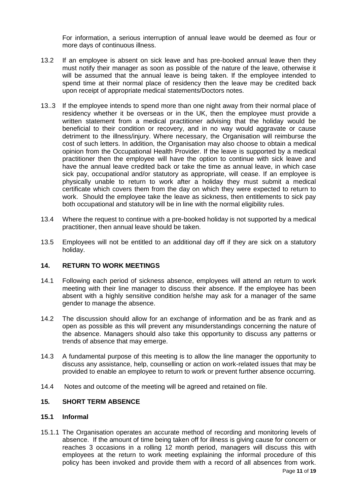For information, a serious interruption of annual leave would be deemed as four or more days of continuous illness.

- 13.2 If an employee is absent on sick leave and has pre-booked annual leave then they must notify their manager as soon as possible of the nature of the leave, otherwise it will be assumed that the annual leave is being taken. If the employee intended to spend time at their normal place of residency then the leave may be credited back upon receipt of appropriate medical statements/Doctors notes.
- 13..3 If the employee intends to spend more than one night away from their normal place of residency whether it be overseas or in the UK, then the employee must provide a written statement from a medical practitioner advising that the holiday would be beneficial to their condition or recovery, and in no way would aggravate or cause detriment to the illness/injury. Where necessary, the Organisation will reimburse the cost of such letters. In addition, the Organisation may also choose to obtain a medical opinion from the Occupational Health Provider. If the leave is supported by a medical practitioner then the employee will have the option to continue with sick leave and have the annual leave credited back or take the time as annual leave, in which case sick pay, occupational and/or statutory as appropriate, will cease. If an employee is physically unable to return to work after a holiday they must submit a medical certificate which covers them from the day on which they were expected to return to work. Should the employee take the leave as sickness, then entitlements to sick pay both occupational and statutory will be in line with the normal eligibility rules.
- 13.4 Where the request to continue with a pre-booked holiday is not supported by a medical practitioner, then annual leave should be taken.
- 13.5 Employees will not be entitled to an additional day off if they are sick on a statutory holiday.

#### **14. RETURN TO WORK MEETINGS**

- 14.1 Following each period of sickness absence, employees will attend an return to work meeting with their line manager to discuss their absence. If the employee has been absent with a highly sensitive condition he/she may ask for a manager of the same gender to manage the absence.
- 14.2 The discussion should allow for an exchange of information and be as frank and as open as possible as this will prevent any misunderstandings concerning the nature of the absence. Managers should also take this opportunity to discuss any patterns or trends of absence that may emerge.
- 14.3 A fundamental purpose of this meeting is to allow the line manager the opportunity to discuss any assistance, help, counselling or action on work-related issues that may be provided to enable an employee to return to work or prevent further absence occurring.
- 14.4 Notes and outcome of the meeting will be agreed and retained on file.

#### **15***.* **SHORT TERM ABSENCE**

#### **15.1 Informal**

15.1.1 The Organisation operates an accurate method of recording and monitoring levels of absence. If the amount of time being taken off for illness is giving cause for concern or reaches 3 occasions in a rolling 12 month period, managers will discuss this with employees at the return to work meeting explaining the informal procedure of this policy has been invoked and provide them with a record of all absences from work.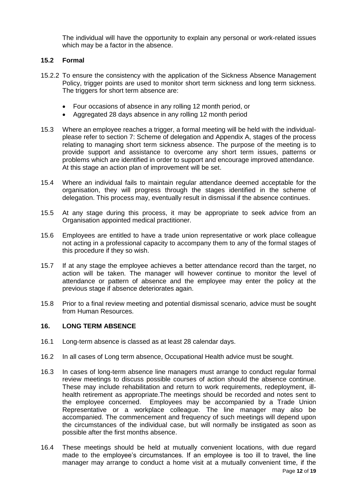The individual will have the opportunity to explain any personal or work-related issues which may be a factor in the absence.

#### **15.2 Formal**

- 15.2.2 To ensure the consistency with the application of the Sickness Absence Management Policy, trigger points are used to monitor short term sickness and long term sickness. The triggers for short term absence are:
	- Four occasions of absence in any rolling 12 month period, or
	- Aggregated 28 days absence in any rolling 12 month period
- 15.3 Where an employee reaches a trigger, a formal meeting will be held with the individualplease refer to section 7: Scheme of delegation and Appendix A, stages of the process relating to managing short term sickness absence. The purpose of the meeting is to provide support and assistance to overcome any short term issues, patterns or problems which are identified in order to support and encourage improved attendance. At this stage an action plan of improvement will be set.
- 15.4 Where an individual fails to maintain regular attendance deemed acceptable for the organisation, they will progress through the stages identified in the scheme of delegation. This process may, eventually result in dismissal if the absence continues.
- 15.5 At any stage during this process, it may be appropriate to seek advice from an Organisation appointed medical practitioner.
- 15.6 Employees are entitled to have a trade union representative or work place colleague not acting in a professional capacity to accompany them to any of the formal stages of this procedure if they so wish.
- 15.7 If at any stage the employee achieves a better attendance record than the target, no action will be taken. The manager will however continue to monitor the level of attendance or pattern of absence and the employee may enter the policy at the previous stage if absence deteriorates again.
- 15.8 Prior to a final review meeting and potential dismissal scenario, advice must be sought from Human Resources.

#### **16. LONG TERM ABSENCE**

- 16.1 Long-term absence is classed as at least 28 calendar days.
- 16.2 In all cases of Long term absence, Occupational Health advice must be sought.
- 16.3 In cases of long-term absence line managers must arrange to conduct regular formal review meetings to discuss possible courses of action should the absence continue. These may include rehabilitation and return to work requirements, redeployment, illhealth retirement as appropriate.The meetings should be recorded and notes sent to the employee concerned. Employees may be accompanied by a Trade Union Representative or a workplace colleague. The line manager may also be accompanied. The commencement and frequency of such meetings will depend upon the circumstances of the individual case, but will normally be instigated as soon as possible after the first months absence.
- 16.4 These meetings should be held at mutually convenient locations, with due regard made to the employee's circumstances. If an employee is too ill to travel, the line manager may arrange to conduct a home visit at a mutually convenient time, if the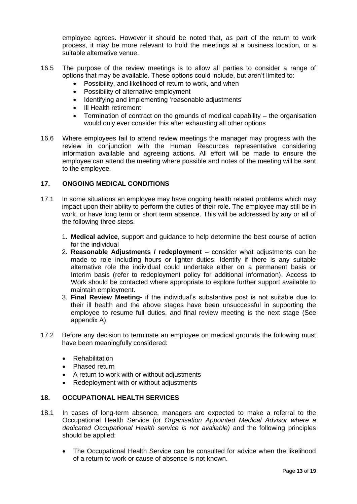employee agrees. However it should be noted that, as part of the return to work process, it may be more relevant to hold the meetings at a business location, or a suitable alternative venue.

- 16.5 The purpose of the review meetings is to allow all parties to consider a range of options that may be available. These options could include, but aren't limited to:
	- Possibility, and likelihood of return to work, and when
	- Possibility of alternative employment
	- Identifying and implementing 'reasonable adjustments'
	- III Health retirement
	- Termination of contract on the grounds of medical capability the organisation would only ever consider this after exhausting all other options
- 16.6 Where employees fail to attend review meetings the manager may progress with the review in conjunction with the Human Resources representative considering information available and agreeing actions. All effort will be made to ensure the employee can attend the meeting where possible and notes of the meeting will be sent to the employee.

#### **17. ONGOING MEDICAL CONDITIONS**

- 17.1 In some situations an employee may have ongoing health related problems which may impact upon their ability to perform the duties of their role. The employee may still be in work, or have long term or short term absence. This will be addressed by any or all of the following three steps.
	- 1. **Medical advice**, support and guidance to help determine the best course of action for the individual
	- 2. **Reasonable Adjustments / redeployment** consider what adjustments can be made to role including hours or lighter duties. Identify if there is any suitable alternative role the individual could undertake either on a permanent basis or Interim basis (refer to redeployment policy for additional information). Access to Work should be contacted where appropriate to explore further support available to maintain employment.
	- 3. **Final Review Meeting-** if the individual's substantive post is not suitable due to their ill health and the above stages have been unsuccessful in supporting the employee to resume full duties, and final review meeting is the next stage (See appendix A)
- 17.2 Before any decision to terminate an employee on medical grounds the following must have been meaningfully considered:
	- Rehabilitation
	- Phased return
	- A return to work with or without adjustments
	- Redeployment with or without adjustments

#### **18. OCCUPATIONAL HEALTH SERVICES**

- 18.1 In cases of long-term absence, managers are expected to make a referral to the Occupational Health Service (or *Organisation Appointed Medical Advisor where a dedicated Occupational Health service is not available)* and the following principles should be applied:
	- The Occupational Health Service can be consulted for advice when the likelihood of a return to work or cause of absence is not known.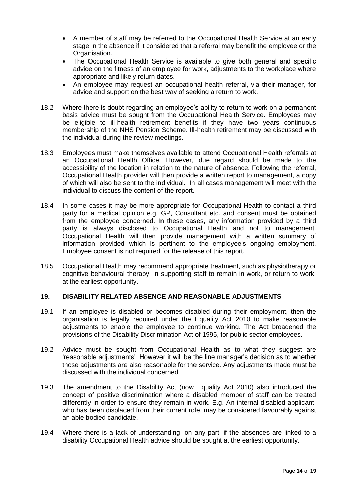- A member of staff may be referred to the Occupational Health Service at an early stage in the absence if it considered that a referral may benefit the employee or the Organisation.
- The Occupational Health Service is available to give both general and specific advice on the fitness of an employee for work, adjustments to the workplace where appropriate and likely return dates.
- An employee may request an occupational health referral, via their manager, for advice and support on the best way of seeking a return to work.
- 18.2 Where there is doubt regarding an employee's ability to return to work on a permanent basis advice must be sought from the Occupational Health Service. Employees may be eligible to ill-health retirement benefits if they have two years continuous membership of the NHS Pension Scheme. Ill-health retirement may be discussed with the individual during the review meetings.
- 18.3 Employees must make themselves available to attend Occupational Health referrals at an Occupational Health Office. However, due regard should be made to the accessibility of the location in relation to the nature of absence. Following the referral, Occupational Health provider will then provide a written report to management, a copy of which will also be sent to the individual. In all cases management will meet with the individual to discuss the content of the report.
- 18.4 In some cases it may be more appropriate for Occupational Health to contact a third party for a medical opinion e.g. GP, Consultant etc. and consent must be obtained from the employee concerned. In these cases, any information provided by a third party is always disclosed to Occupational Health and not to management. Occupational Health will then provide management with a written summary of information provided which is pertinent to the employee's ongoing employment. Employee consent is not required for the release of this report.
- 18.5 Occupational Health may recommend appropriate treatment, such as physiotherapy or cognitive behavioural therapy, in supporting staff to remain in work, or return to work, at the earliest opportunity.

#### **19. DISABILITY RELATED ABSENCE AND REASONABLE ADJUSTMENTS**

- 19.1 If an employee is disabled or becomes disabled during their employment, then the organisation is legally required under the Equality Act 2010 to make reasonable adjustments to enable the employee to continue working. The Act broadened the provisions of the Disability Discrimination Act of 1995, for public sector employees.
- 19.2 Advice must be sought from Occupational Health as to what they suggest are 'reasonable adjustments'. However it will be the line manager's decision as to whether those adjustments are also reasonable for the service. Any adjustments made must be discussed with the individual concerned
- 19.3 The amendment to the Disability Act (now Equality Act 2010) also introduced the concept of positive discrimination where a disabled member of staff can be treated differently in order to ensure they remain in work. E.g. An internal disabled applicant, who has been displaced from their current role, may be considered favourably against an able bodied candidate.
- 19.4 Where there is a lack of understanding, on any part, if the absences are linked to a disability Occupational Health advice should be sought at the earliest opportunity.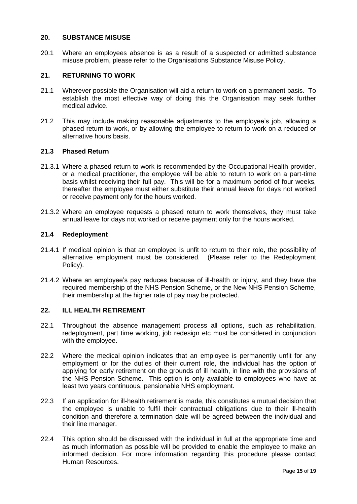#### **20. SUBSTANCE MISUSE**

20.1 Where an employees absence is as a result of a suspected or admitted substance misuse problem, please refer to the Organisations Substance Misuse Policy.

#### **21. RETURNING TO WORK**

- 21.1 Wherever possible the Organisation will aid a return to work on a permanent basis. To establish the most effective way of doing this the Organisation may seek further medical advice.
- 21.2 This may include making reasonable adjustments to the employee's job, allowing a phased return to work, or by allowing the employee to return to work on a reduced or alternative hours basis.

#### **21.3 Phased Return**

- 21.3.1 Where a phased return to work is recommended by the Occupational Health provider, or a medical practitioner, the employee will be able to return to work on a part-time basis whilst receiving their full pay. This will be for a maximum period of four weeks, thereafter the employee must either substitute their annual leave for days not worked or receive payment only for the hours worked.
- 21.3.2 Where an employee requests a phased return to work themselves, they must take annual leave for days not worked or receive payment only for the hours worked.

#### **21.4 Redeployment**

- 21.4.1 If medical opinion is that an employee is unfit to return to their role, the possibility of alternative employment must be considered. (Please refer to the Redeployment Policy).
- 21.4.2 Where an employee's pay reduces because of ill-health or injury, and they have the required membership of the NHS Pension Scheme, or the New NHS Pension Scheme, their membership at the higher rate of pay may be protected.

#### **22. ILL HEALTH RETIREMENT**

- 22.1 Throughout the absence management process all options, such as rehabilitation, redeployment, part time working, job redesign etc must be considered in conjunction with the employee.
- 22.2 Where the medical opinion indicates that an employee is permanently unfit for any employment or for the duties of their current role, the individual has the option of applying for early retirement on the grounds of ill health, in line with the provisions of the NHS Pension Scheme. This option is only available to employees who have at least two years continuous, pensionable NHS employment.
- 22.3 If an application for ill-health retirement is made, this constitutes a mutual decision that the employee is unable to fulfil their contractual obligations due to their ill-health condition and therefore a termination date will be agreed between the individual and their line manager.
- 22.4 This option should be discussed with the individual in full at the appropriate time and as much information as possible will be provided to enable the employee to make an informed decision. For more information regarding this procedure please contact Human Resources.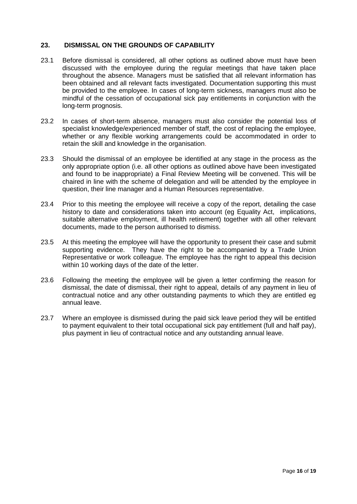#### **23. DISMISSAL ON THE GROUNDS OF CAPABILITY**

- 23.1 Before dismissal is considered, all other options as outlined above must have been discussed with the employee during the regular meetings that have taken place throughout the absence. Managers must be satisfied that all relevant information has been obtained and all relevant facts investigated. Documentation supporting this must be provided to the employee. In cases of long-term sickness, managers must also be mindful of the cessation of occupational sick pay entitlements in conjunction with the long-term prognosis.
- 23.2 In cases of short-term absence, managers must also consider the potential loss of specialist knowledge/experienced member of staff, the cost of replacing the employee, whether or any flexible working arrangements could be accommodated in order to retain the skill and knowledge in the organisation.
- 23.3 Should the dismissal of an employee be identified at any stage in the process as the only appropriate option (i.e. all other options as outlined above have been investigated and found to be inappropriate) a Final Review Meeting will be convened. This will be chaired in line with the scheme of delegation and will be attended by the employee in question, their line manager and a Human Resources representative.
- 23.4 Prior to this meeting the employee will receive a copy of the report, detailing the case history to date and considerations taken into account (eg Equality Act, implications, suitable alternative employment, ill health retirement) together with all other relevant documents, made to the person authorised to dismiss.
- 23.5 At this meeting the employee will have the opportunity to present their case and submit supporting evidence. They have the right to be accompanied by a Trade Union Representative or work colleague. The employee has the right to appeal this decision within 10 working days of the date of the letter.
- 23.6 Following the meeting the employee will be given a letter confirming the reason for dismissal, the date of dismissal, their right to appeal, details of any payment in lieu of contractual notice and any other outstanding payments to which they are entitled eg annual leave.
- 23.7 Where an employee is dismissed during the paid sick leave period they will be entitled to payment equivalent to their total occupational sick pay entitlement (full and half pay), plus payment in lieu of contractual notice and any outstanding annual leave.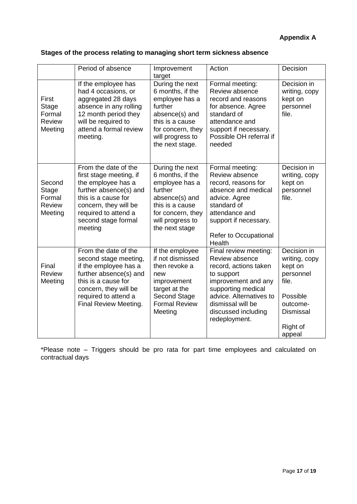# **Appendix A**

|                                                              | Period of absence                                                                                                                                                                                         | Improvement<br>target                                                                                                                                             | Action                                                                                                                                                                                                              | Decision                                                                                                                        |
|--------------------------------------------------------------|-----------------------------------------------------------------------------------------------------------------------------------------------------------------------------------------------------------|-------------------------------------------------------------------------------------------------------------------------------------------------------------------|---------------------------------------------------------------------------------------------------------------------------------------------------------------------------------------------------------------------|---------------------------------------------------------------------------------------------------------------------------------|
| First<br>Stage<br>Formal<br><b>Review</b><br>Meeting         | If the employee has<br>had 4 occasions, or<br>aggregated 28 days<br>absence in any rolling<br>12 month period they<br>will be required to<br>attend a formal review<br>meeting.                           | During the next<br>6 months, if the<br>employee has a<br>further<br>absence(s) and<br>this is a cause<br>for concern, they<br>will progress to<br>the next stage. | Formal meeting:<br>Review absence<br>record and reasons<br>for absence. Agree<br>standard of<br>attendance and<br>support if necessary.<br>Possible OH referral if<br>needed                                        | Decision in<br>writing, copy<br>kept on<br>personnel<br>file.                                                                   |
| Second<br><b>Stage</b><br>Formal<br><b>Review</b><br>Meeting | From the date of the<br>first stage meeting, if<br>the employee has a<br>further absence(s) and<br>this is a cause for<br>concern, they will be<br>required to attend a<br>second stage formal<br>meeting | During the next<br>6 months, if the<br>employee has a<br>further<br>absence(s) and<br>this is a cause<br>for concern, they<br>will progress to<br>the next stage  | Formal meeting:<br>Review absence<br>record, reasons for<br>absence and medical<br>advice. Agree<br>standard of<br>attendance and<br>support if necessary.<br>Refer to Occupational<br>Health                       | Decision in<br>writing, copy<br>kept on<br>personnel<br>file.                                                                   |
| Final<br>Review<br>Meeting                                   | From the date of the<br>second stage meeting,<br>if the employee has a<br>further absence(s) and<br>this is a cause for<br>concern, they will be<br>required to attend a<br>Final Review Meeting.         | If the employee<br>if not dismissed<br>then revoke a<br>new<br>improvement<br>target at the<br>Second Stage<br><b>Formal Review</b><br>Meeting                    | Final review meeting:<br>Review absence<br>record, actions taken<br>to support<br>improvement and any<br>supporting medical<br>advice. Alternatives to<br>dismissal will be<br>discussed including<br>redeployment. | Decision in<br>writing, copy<br>kept on<br>personnel<br>file.<br>Possible<br>outcome-<br><b>Dismissal</b><br>Right of<br>appeal |

\*Please note – Triggers should be pro rata for part time employees and calculated on contractual days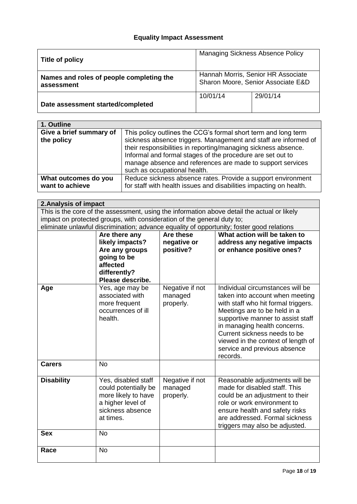#### **Equality Impact Assessment**

| Title of policy                                        | <b>Managing Sickness Absence Policy</b>                                  |          |
|--------------------------------------------------------|--------------------------------------------------------------------------|----------|
| Names and roles of people completing the<br>assessment | Hannah Morris, Senior HR Associate<br>Sharon Moore, Senior Associate E&D |          |
| Date assessment started/completed                      | 10/01/14                                                                 | 29/01/14 |

| 1. Outline                              |                                                                                                                                                                                                                                                                                                                                                                 |
|-----------------------------------------|-----------------------------------------------------------------------------------------------------------------------------------------------------------------------------------------------------------------------------------------------------------------------------------------------------------------------------------------------------------------|
| Give a brief summary of<br>the policy   | This policy outlines the CCG's formal short term and long term<br>sickness absence triggers. Management and staff are informed of<br>their responsibilities in reporting/managing sickness absence.<br>Informal and formal stages of the procedure are set out to<br>manage absence and references are made to support services<br>such as occupational health. |
| What outcomes do you<br>want to achieve | Reduce sickness absence rates. Provide a support environment<br>for staff with health issues and disabilities impacting on health.                                                                                                                                                                                                                              |

#### **2.Analysis of impact** This is the core of the assessment, using the information above detail the actual or likely impact on protected groups, with consideration of the general duty to; eliminate unlawful discrimination; advance equality of opportunity; foster good relations **Are there any likely impacts? Are any groups going to be affected differently? Please describe. Are these negative or positive? What action will be taken to address any negative impacts or enhance positive ones? Age** Yes, age may be associated with more frequent occurrences of ill health. Negative if not managed properly. Individual circumstances will be taken into account when meeting with staff who hit formal triggers. Meetings are to be held in a supportive manner to assist staff in managing health concerns. Current sickness needs to be viewed in the context of length of service and previous absence records. **Carers** No **Disability Yes, disabled staff** could potentially be more likely to have a higher level of sickness absence at times. Negative if not managed properly. Reasonable adjustments will be made for disabled staff. This could be an adjustment to their role or work environment to ensure health and safety risks are addressed. Formal sickness triggers may also be adjusted. Sex No Race No